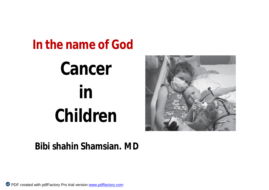# **In the name of God Cancer in Children**



### **Bibi shahin Shamsian. MD**

PDF created with pdfFactory Pro trial version [www.pdffactory.com](http://www.pdffactory.com)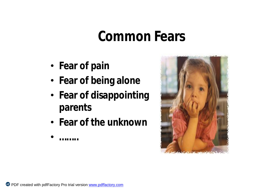### **Common Fears**

- **Fear of pain**
- **Fear of being alone**
- **Fear of disappointing parents**
- **Fear of the unknown**



• **……..**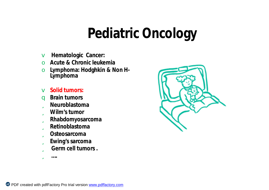## **Pediatric Oncology**

- v **Hematologic Cancer:**
- o **Acute & Chronic leukemia**
- o **Lymphoma: Hodghkin & Non H-Lymphoma**
- v **Solid tumors:**
- q **Brain tumors**
- ü **Neuroblastoma**
- ü **Wilm's tumor**
- ü **Rhabdomyosarcoma**
- ü **Retinoblastoma**
- ü **Osteosarcoma**
- ü **Ewing's sarcoma**
- ü **Germ cell tumors .**
- ü **….**

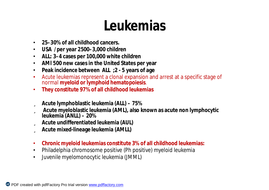## **Leukemias**

- **25–30% of all childhood cancers.**
- **USA /per year 2500–3,000 children**
- **ALL: 3–4 cases per 100,000 white children**
- **AMl 500 new cases in the United States per year**
- **Peak incidence between ALL ;2 - 5 years of age**
- Acute leukemias represent a clonal expansion and arrest at a specific stage of normal **myeloid or lymphoid hematopoiesis**.
- **They constitute 97% of all childhood leukemias**
- ü **Acute lymphoblastic leukemia (ALL) – 75%**
- ü **Acute myeloblastic leukemia (AML), also known as acute non lymphocytic leukemia (ANLL) – 20%**
- ü **Acute undifferentiated leukemia (AUL)**
- ü **Acute mixed-lineage leukemia (AMLL)**
- **Chronic myeloid leukemias constitute 3% of all childhood leukemias:**
- Philadelphia chromosome positive (Ph positive) myeloid leukemia
- Juvenile myelomonocytic leukemia (JMML)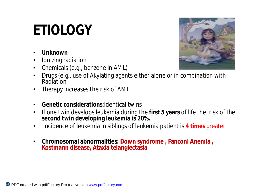# **ETIOLOGY**

- **Unknown**
- Ionizing radiation
- Chemicals (e.g., benzene in AML)



- Drugs (e.g., use of Akylating agents either alone or in combination with **Radiation**
- Therapy increases the risk of AML
- **Genetic considerations**:Identical twins
- If one twin develops leukemia during the **first 5 years** of life the, risk of the **second twin developing leukemia is 20%.**
- Incidence of leukemia in siblings of leukemia patient is **4 times** greater
- **Chromosomal abnormalities: Down syndrome , Fanconi Anemia , Kostmann disease, Ataxia telangiectasia**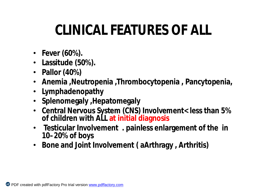# **CLINICAL FEATURES OF ALL**

- **Fever (60%).**
- **Lassitude (50%).**
- **Pallor (40%)**
- **Anemia ,Neutropenia ,Thrombocytopenia , Pancytopenia,**
- **Lymphadenopathy**
- **Splenomegaly ,Hepatomegaly**
- **Central Nervous System (CNS) Involvement< less than 5% of children with ALL at initial diagnosis**
- **Testicular Involvement . painless enlargement of the in 10–20% of boys**
- **Bone and Joint Involvement ( aArthragy , Arthritis)**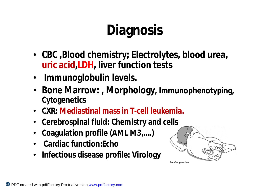# **Diagnosis**

- **CBC ,Blood chemistry; Electrolytes, blood urea, uric acid,LDH, liver function tests**
- **Immunoglobulin levels.**
- **Bone Marrow: , Morphology, Immunophenotyping, Cytogenetics**
- **CXR: Mediastinal mass in T-cell leukemia.**
- **Cerebrospinal fluid: Chemistry and cells**
- **Coagulation profile (AML M3,….)**
- **Cardiac function:Echo**
- **Infectious disease profile: Virology**

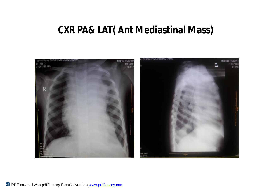### **CXR PA& LAT( Ant Mediastinal Mass)**

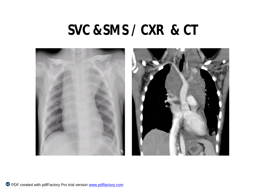### **SVC &SMS / CXR & CT**

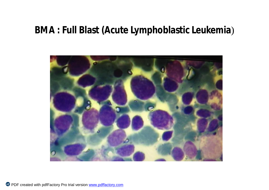### **BMA : Full Blast (Acute Lymphoblastic Leukemia**)



PDF created with pdfFactory Pro trial version [www.pdffactory.com](http://www.pdffactory.com)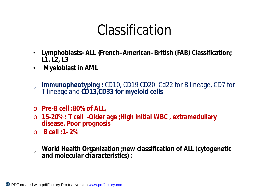### Classification

- **Lymphoblasts- ALL {French–American–British (FAB) Classification; L1, L2, L3**
- **Myeloblast in AML**
- ü **Immunopheotyping :** CD10, CD19 CD20, Cd22 for B lineage, CD7 for T lineage and **CD13,CD33 for myeloid cells**
- o **Pre-B cell :80% of ALL,**
- o **15-20% : T cell -Older age ;High initial WBC , extramedullary disease, Poor prognosis**
- o **B cell :1–2%**
- ü **World Health Organization ;new classification of ALL** (*cytogenetic and molecular characteristics) :*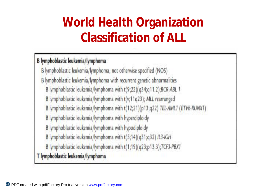### **World Health Organization Classification of ALL**

### B lymphoblastic leukemia/lymphoma

B lymphoblastic leukemia/lymphoma, not otherwise specified (NOS) B lymphoblastic leukemia/lymphoma with recurrent genetic abnormalities B lymphoblastic leukemia/lymphoma with t(9;22)(q34;q11.2);BCR-ABL 1 B lymphoblastic leukemia/lymphoma with t(v;11q23); MLL rearranged B lymphoblastic leukemia/lymphoma with t(12;21)(p13;q22) TEL-AML1 (ETV6-RUNX1) B lymphoblastic leukemia/lymphoma with hyperdiploidy B lymphoblastic leukemia/lymphoma with hypodiploidy B lymphoblastic leukemia/lymphoma with t(5;14)(q31;q32) IL3-IGH B lymphoblastic leukemia/lymphoma with t(1;19)(q23;p13.3);TCF3-PBX1 T lymphoblastic leukemia/lymphoma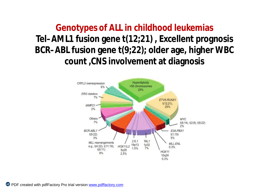**Genotypes of ALL in childhood leukemias Tel–AML1 fusion gene t(12;21) , Excellent prognosis BCR–ABL fusion gene t(9;22); older age, higher WBC count ,CNS involvement at diagnosis** 

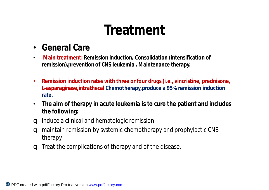### **Treatment**

- **General Care**
- **Main treatment: Remission induction, Consolidation (intensification of remission),prevention of CNS leukemia , Maintenance therapy.**
- **Remission induction rates with three or four drugs (i.e., vincristine, prednisone, L-asparaginase,intrathecal Chemotherapy,produce a 95% remission induction rate.**
- **The aim of therapy in acute leukemia is to cure the patient and includes the following:**
- q induce a clinical and hematologic remission
- q maintain remission by systemic chemotherapy and prophylactic CNS therapy
- q Treat the complications of therapy and of the disease.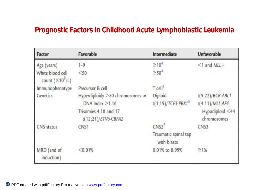### **Prognostic Factors in Childhood Acute Lymphoblastic Leukemia**

| Factor                                      | Favorable                                    | Intermediate                        | Unfavorable                    |
|---------------------------------------------|----------------------------------------------|-------------------------------------|--------------------------------|
| Age (years)                                 | $1 - 9$                                      | $\geq 10^2$                         | $<$ 1 and MLL+                 |
| White blood cell<br>count $(\times 10^9/L)$ | < 50                                         | $\geq$ 50 <sup>2</sup>              |                                |
| Immunophenotype                             | Precursor B cell                             | Teell <sup>a</sup>                  |                                |
| Genetics                                    | Hyperdiploidy >50 chromosomes or             | Diploid                             | $t(9;22)/BCR-ABLI$             |
|                                             | $DNA$ index $\geq 1.16$                      | $t(1;19)/TCF3-PBX1^2$               | $t(4:11)/MLL-AF4$              |
|                                             | Trisomies 4,10 and 17<br>t(12;21)/ETV6-CBFA2 |                                     | Hypodiploid <44<br>chromosomes |
| <b>CNS</b> status                           | CN <sub>S1</sub>                             | CNS2 <sup>n</sup>                   | CNS3                           |
|                                             |                                              | Traumatic spinal tap<br>with blasts |                                |
| MRD (end of<br>induction)                   | < 0.01%                                      | 0.01% to 0.99%                      | 21%                            |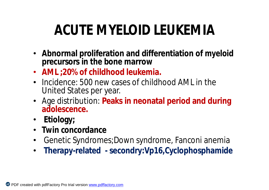# **ACUTE MYELOID LEUKEMIA**

- **Abnormal proliferation and differentiation of myeloid precursors in the bone marrow**
- **AML ;20% of childhood leukemia.**
- Incidence: 500 new cases of childhood AML in the United States per year.
- Age distribution: **Peaks in neonatal period and during adolescence.**
- **Etiology;**
- **Twin concordance**
- Genetic Syndromes;Down syndrome, Fanconi anemia
- **Therapy-related - secondry:Vp16,Cyclophosphamide**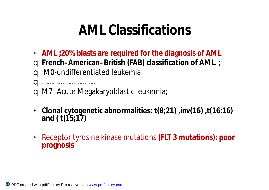### **AML Classifications**

• **AML ;20% blasts are required for the diagnosis of AML** q **French–American–British (FAB) classification of AML. ;** q M0-undifferentiated leukemia q ………………………..

q M7- Acute Megakaryoblastic leukemia;

- **Clonal cytogenetic abnormalities: t(8;21) ,inv(16) ,t(16:16) and ( t(15;17)**
- Receptor tyrosine kinase mutations **(FLT 3 mutations): poor prognosis**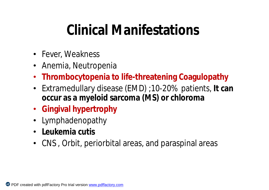## **Clinical Manifestations**

- Fever, Weakness
- Anemia, Neutropenia
- **Thrombocytopenia to life-threatening Coagulopathy**
- Extramedullary disease (EMD) ;10-20% patients, **It can occur as a myeloid sarcoma (MS) or chloroma**
- **Gingival hypertrophy**
- Lymphadenopathy
- **Leukemia cutis**
- CNS , Orbit, periorbital areas, and paraspinal areas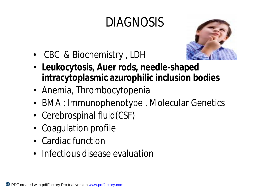### DIAGNOSIS



- CBC & Biochemistry , LDH
- **Leukocytosis, Auer rods, needle-shaped intracytoplasmic azurophilic inclusion bodies**
- Anemia, Thrombocytopenia
- BMA ; Immunophenotype , Molecular Genetics
- Cerebrospinal fluid(CSF)
- Coagulation profile
- Cardiac function
- Infectious disease evaluation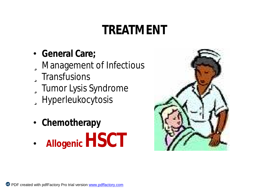### **TREATMENT**

- **General Care;** üManagement of Infectious üTransfusions üTumor Lysis Syndrome üHyperleukocytosis
- **Chemotherapy**
- **AllogenicHSCT**

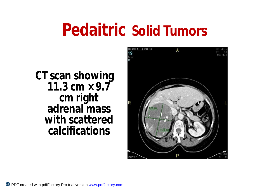# **Pedaitric Solid Tumors**

**CT scan showing 11.3**  $cm \times 9.7$ **cm right adrenal mass with scattered calcifications**

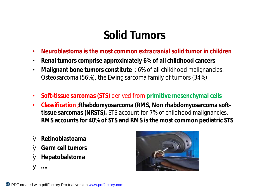### **Solid Tumors**

- **Neuroblastoma is the most common extracranial solid tumor in children**
- **Renal tumors comprise approximately 6% of all childhood cancers**
- **Malignant bone tumors constitute** ; 6% of all childhood malignancies. Osteosarcoma (56%), the Ewing sarcoma family of tumors (34%)
- **Soft-tissue sarcomas (STS)** derived from **primitive mesenchymal cells**
- **Classification ;Rhabdomyosarcoma (RMS, Non rhabdomyosarcoma softtissue sarcomas (NRSTS).** STS account for 7% of childhood malignancies. **RMS accounts for 40% of STS and RMS is the most common pediatric STS**
- Ø **Retinoblastoama**
- Ø **Germ cell tumors**
- Ø **Hepatobalstoma**
- Ø **….**

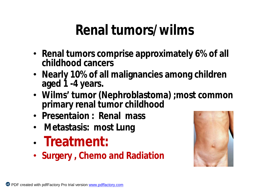## **Renal tumors/wilms**

- **Renal tumors comprise approximately 6% of all childhood cancers**
- **Nearly 10% of all malignancies among children aged 1 -4 years.**
- **Wilms' tumor (Nephroblastoma) ;most common primary renal tumor childhood**
- **Presentaion : Renal mass**
- **Metastasis: most Lung**
- **Treatment:**
- **Surgery , Chemo and Radiation**

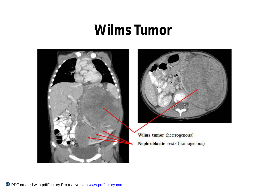### **Wilms Tumor**



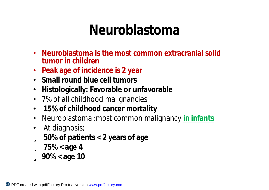### **Neuroblastoma**

- **Neuroblastoma is the most common extracranial solid tumor in children**
- **Peak age of incidence is 2 year**
- **Small round blue cell tumors**
- **Histologically: Favorable or unfavorable**
- 7% of all childhood malignancies
- **15% of childhood cancer mortality**.
- Neuroblastoma :most common malignancy **in infants**
- At diagnosis;
- ü **50% of patients < 2 years of age**
- ü **75% < age 4**
- ü **90% < age 10**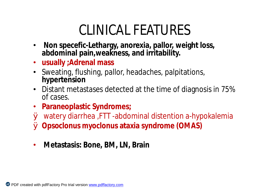### CLINICAL FEATURES

- **Non specefic-Lethargy, anorexia, pallor, weight loss, abdominal pain,weakness, and irritability.**
- **usually ;Adrenal mass**
- Sweating, flushing, pallor, headaches, palpitations, **hypertension**
- Distant metastases detected at the time of diagnosis in 75% of cases.
- **Paraneoplastic Syndromes;**
- Ø watery diarrhea ,FTT -abdominal distention a-hypokalemia Ø **Opsoclonus myoclonus ataxia syndrome (OMAS)**
- **Metastasis: Bone, BM, LN, Brain**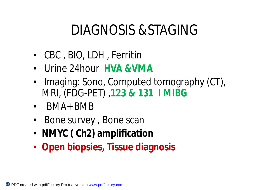## DIAGNOSIS &STAGING

- CBC , BIO, LDH , Ferritin
- Urine 24hour **HVA &VMA**
- Imaging: Sono, Computed tomography (CT), MRI, (FDG-PET) ,**123 & 131 I MIBG**
- BMA+ BMB
- Bone survey , Bone scan
- **NMYC ( Ch2) amplification**
- **Open biopsies, Tissue diagnosis**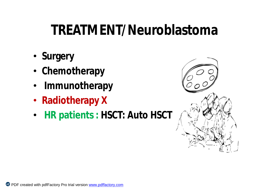## **TREATMENT/Neuroblastoma**

- **Surgery**
- **Chemotherapy**
- **Immunotherapy**
- **Radiotherapy X**
- **HR patients : HSCT: Auto HSCT**

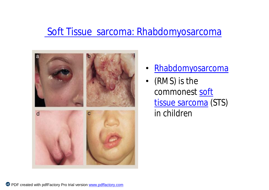### Soft Tissue sarcoma: Rhabdomyosarcoma



- Rhabdomyosarcoma
- (RMS) is the commonest soft tissue sarcoma (STS) in children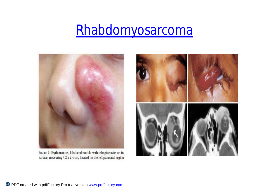### Rhabdomyosarcoma



FIGURE 2: Frythematous, lobulated nodule with telangiectasias on its surface, measuring 3.2 x 2.4 cm, located on the left paranasal region

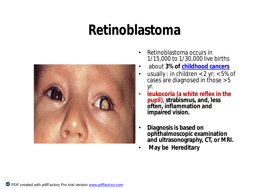### **Retinoblastoma**



- Retinoblastoma occurs in 1/15,000 to 1/30,000 live births
- about **3% of childhood cancers**
- usually : in children  $< 2$  yr;  $< 5\%$  of cases are diagnosed in those > 5 yr.
- **leukocoria (a white reflex in the pupil), strabismus, and, less often, inflammation and impaired vision.**
- **Diagnosis is based on ophthalmoscopic examination and ultrasonography, CT, or MRI.**
- **May be Hereditary**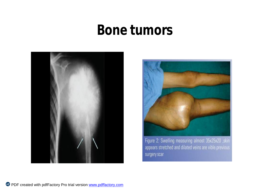### **Bone tumors**





Figure 2: Swelling measuring almost 35x25x20, skin appears stretched and dilated veins are vible previous surgery scar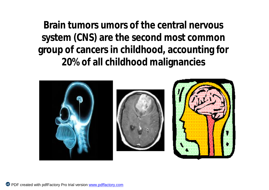**Brain tumors umors of the central nervous system (CNS) are the second most common group of cancers in childhood, accounting for 20% of all childhood malignancies**





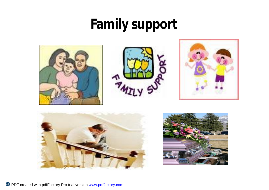## **Family support**









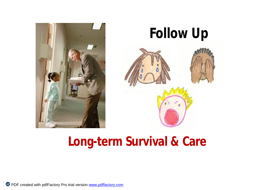

# **Follow Up**

### **Long-term Survival & Care**

Pdf PDF created with pdfFactory Pro trial version [www.pdffactory.com](http://www.pdffactory.com)